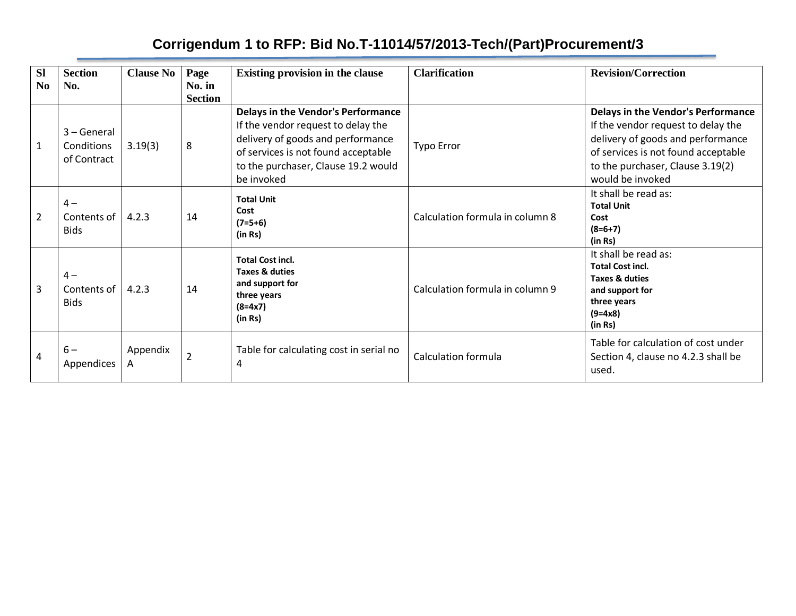# **Corrigendum 1 to RFP: Bid No.T-11014/57/2013-Tech/(Part)Procurement/3**

| <b>Sl</b><br>N <sub>0</sub> | <b>Section</b><br>No.                    | <b>Clause No</b> | Page<br>No. in<br><b>Section</b> | <b>Existing provision in the clause</b>                                                                                                                                                                          | <b>Clarification</b>            | <b>Revision/Correction</b>                                                                                                                                                                                          |
|-----------------------------|------------------------------------------|------------------|----------------------------------|------------------------------------------------------------------------------------------------------------------------------------------------------------------------------------------------------------------|---------------------------------|---------------------------------------------------------------------------------------------------------------------------------------------------------------------------------------------------------------------|
| $\mathbf{1}$                | 3 – General<br>Conditions<br>of Contract | 3.19(3)          | 8                                | <b>Delays in the Vendor's Performance</b><br>If the vendor request to delay the<br>delivery of goods and performance<br>of services is not found acceptable<br>to the purchaser, Clause 19.2 would<br>be invoked | <b>Typo Error</b>               | <b>Delays in the Vendor's Performance</b><br>If the vendor request to delay the<br>delivery of goods and performance<br>of services is not found acceptable<br>to the purchaser, Clause 3.19(2)<br>would be invoked |
| $\overline{2}$              | $4-$<br>Contents of<br><b>Bids</b>       | 4.2.3            | 14                               | <b>Total Unit</b><br>Cost<br>$(7=5+6)$<br>(in Rs)                                                                                                                                                                | Calculation formula in column 8 | It shall be read as:<br><b>Total Unit</b><br>Cost<br>$(8=6+7)$<br>(in Rs)                                                                                                                                           |
| 3                           | $4-$<br>Contents of<br><b>Bids</b>       | 4.2.3            | 14                               | <b>Total Cost incl.</b><br><b>Taxes &amp; duties</b><br>and support for<br>three years<br>$(8=4x7)$<br>(in Rs)                                                                                                   | Calculation formula in column 9 | It shall be read as:<br><b>Total Cost incl.</b><br>Taxes & duties<br>and support for<br>three years<br>$(9=4x8)$<br>(in Rs)                                                                                         |
| 4                           | $6-$<br>Appendices                       | Appendix<br>A    | $\overline{2}$                   | Table for calculating cost in serial no<br>4                                                                                                                                                                     | <b>Calculation formula</b>      | Table for calculation of cost under<br>Section 4, clause no 4.2.3 shall be<br>used.                                                                                                                                 |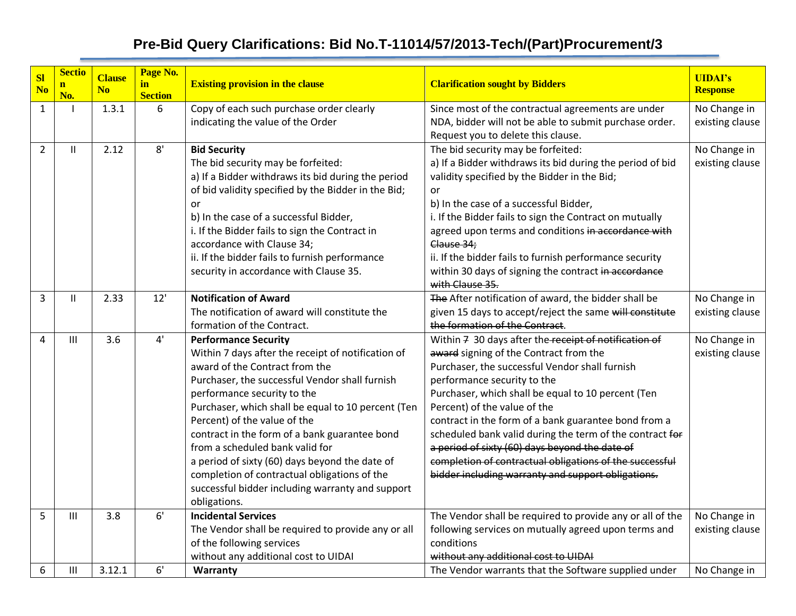| <b>Sl</b><br>N <sub>o</sub> | <b>Sectio</b><br>$\mathbf{n}$<br>No. | <b>Clause</b><br>N <sub>o</sub> | Page No.<br>in<br><b>Section</b> | <b>Existing provision in the clause</b>                                                                                                                                                                                                                                                                                                                                                                                                                                                                                                              | <b>Clarification sought by Bidders</b>                                                                                                                                                                                                                                                                                                                                                                                                                                                                                                                        | <b>UIDAI's</b><br><b>Response</b> |
|-----------------------------|--------------------------------------|---------------------------------|----------------------------------|------------------------------------------------------------------------------------------------------------------------------------------------------------------------------------------------------------------------------------------------------------------------------------------------------------------------------------------------------------------------------------------------------------------------------------------------------------------------------------------------------------------------------------------------------|---------------------------------------------------------------------------------------------------------------------------------------------------------------------------------------------------------------------------------------------------------------------------------------------------------------------------------------------------------------------------------------------------------------------------------------------------------------------------------------------------------------------------------------------------------------|-----------------------------------|
| $\mathbf{1}$                |                                      | 1.3.1                           | 6                                | Copy of each such purchase order clearly<br>indicating the value of the Order                                                                                                                                                                                                                                                                                                                                                                                                                                                                        | Since most of the contractual agreements are under<br>NDA, bidder will not be able to submit purchase order.<br>Request you to delete this clause.                                                                                                                                                                                                                                                                                                                                                                                                            | No Change in<br>existing clause   |
| $\overline{2}$              | $\mathbf{H}$                         | 2.12                            | 8'                               | <b>Bid Security</b><br>The bid security may be forfeited:<br>a) If a Bidder withdraws its bid during the period<br>of bid validity specified by the Bidder in the Bid;<br>or<br>b) In the case of a successful Bidder,<br>i. If the Bidder fails to sign the Contract in<br>accordance with Clause 34;<br>ii. If the bidder fails to furnish performance<br>security in accordance with Clause 35.                                                                                                                                                   | The bid security may be forfeited:<br>a) If a Bidder withdraws its bid during the period of bid<br>validity specified by the Bidder in the Bid;<br>or<br>b) In the case of a successful Bidder,<br>i. If the Bidder fails to sign the Contract on mutually<br>agreed upon terms and conditions in accordance with<br>Clause 34;<br>ii. If the bidder fails to furnish performance security<br>within 30 days of signing the contract in accordance<br>with Clause 35.                                                                                         | No Change in<br>existing clause   |
| 3                           | $\mathbf{H}$                         | 2.33                            | 12'                              | <b>Notification of Award</b><br>The notification of award will constitute the<br>formation of the Contract.                                                                                                                                                                                                                                                                                                                                                                                                                                          | The After notification of award, the bidder shall be<br>given 15 days to accept/reject the same will constitute<br>the formation of the Contract.                                                                                                                                                                                                                                                                                                                                                                                                             | No Change in<br>existing clause   |
| 4                           | III                                  | 3.6                             | 4'                               | <b>Performance Security</b><br>Within 7 days after the receipt of notification of<br>award of the Contract from the<br>Purchaser, the successful Vendor shall furnish<br>performance security to the<br>Purchaser, which shall be equal to 10 percent (Ten<br>Percent) of the value of the<br>contract in the form of a bank guarantee bond<br>from a scheduled bank valid for<br>a period of sixty (60) days beyond the date of<br>completion of contractual obligations of the<br>successful bidder including warranty and support<br>obligations. | Within 7 30 days after the receipt of notification of<br>award signing of the Contract from the<br>Purchaser, the successful Vendor shall furnish<br>performance security to the<br>Purchaser, which shall be equal to 10 percent (Ten<br>Percent) of the value of the<br>contract in the form of a bank guarantee bond from a<br>scheduled bank valid during the term of the contract for<br>a period of sixty (60) days beyond the date of<br>completion of contractual obligations of the successful<br>bidder including warranty and support obligations. | No Change in<br>existing clause   |
| 5                           | III                                  | 3.8                             | 6'                               | <b>Incidental Services</b><br>The Vendor shall be required to provide any or all<br>of the following services<br>without any additional cost to UIDAI                                                                                                                                                                                                                                                                                                                                                                                                | The Vendor shall be required to provide any or all of the<br>following services on mutually agreed upon terms and<br>conditions<br>without any additional cost to UIDAI                                                                                                                                                                                                                                                                                                                                                                                       | No Change in<br>existing clause   |
| 6                           | $\mathsf{III}\xspace$                | 3.12.1                          | 6'                               | Warranty                                                                                                                                                                                                                                                                                                                                                                                                                                                                                                                                             | The Vendor warrants that the Software supplied under                                                                                                                                                                                                                                                                                                                                                                                                                                                                                                          | No Change in                      |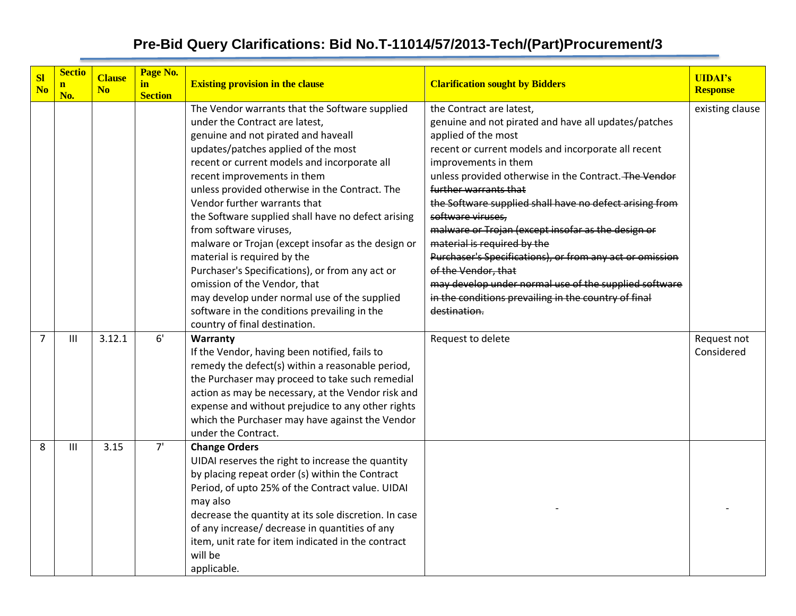| <b>Sl</b><br>N <sub>o</sub> | <b>Sectio</b><br>$\mathbf{n}$<br>No. | <b>Clause</b><br>N <sub>0</sub> | Page No.<br><u>in</u><br><b>Section</b> | <b>Existing provision in the clause</b>                                                                                                                                                                                                                                                                                                                                                                                                                                                                                                                                                                                                                                                                                  | <b>Clarification sought by Bidders</b>                                                                                                                                                                                                                                                                                                                                                                                                                                                                                                                                                                                                                            | <b>UIDAI's</b><br><b>Response</b> |
|-----------------------------|--------------------------------------|---------------------------------|-----------------------------------------|--------------------------------------------------------------------------------------------------------------------------------------------------------------------------------------------------------------------------------------------------------------------------------------------------------------------------------------------------------------------------------------------------------------------------------------------------------------------------------------------------------------------------------------------------------------------------------------------------------------------------------------------------------------------------------------------------------------------------|-------------------------------------------------------------------------------------------------------------------------------------------------------------------------------------------------------------------------------------------------------------------------------------------------------------------------------------------------------------------------------------------------------------------------------------------------------------------------------------------------------------------------------------------------------------------------------------------------------------------------------------------------------------------|-----------------------------------|
|                             |                                      |                                 |                                         | The Vendor warrants that the Software supplied<br>under the Contract are latest,<br>genuine and not pirated and haveall<br>updates/patches applied of the most<br>recent or current models and incorporate all<br>recent improvements in them<br>unless provided otherwise in the Contract. The<br>Vendor further warrants that<br>the Software supplied shall have no defect arising<br>from software viruses,<br>malware or Trojan (except insofar as the design or<br>material is required by the<br>Purchaser's Specifications), or from any act or<br>omission of the Vendor, that<br>may develop under normal use of the supplied<br>software in the conditions prevailing in the<br>country of final destination. | the Contract are latest,<br>genuine and not pirated and have all updates/patches<br>applied of the most<br>recent or current models and incorporate all recent<br>improvements in them<br>unless provided otherwise in the Contract. The Vendor<br>further warrants that<br>the Software supplied shall have no defect arising from<br>software viruses,<br>malware or Trojan (except insofar as the design or<br>material is required by the<br>Purchaser's Specifications), or from any act or omission<br>of the Vendor, that<br>may develop under normal use of the supplied software<br>in the conditions prevailing in the country of final<br>destination. | existing clause                   |
| $\overline{7}$              | III                                  | 3.12.1                          | 6'                                      | Warranty<br>If the Vendor, having been notified, fails to<br>remedy the defect(s) within a reasonable period,<br>the Purchaser may proceed to take such remedial<br>action as may be necessary, at the Vendor risk and<br>expense and without prejudice to any other rights<br>which the Purchaser may have against the Vendor<br>under the Contract.                                                                                                                                                                                                                                                                                                                                                                    | Request to delete                                                                                                                                                                                                                                                                                                                                                                                                                                                                                                                                                                                                                                                 | Request not<br>Considered         |
| 8                           | $\mathbf{III}$                       | 3.15                            | 7'                                      | <b>Change Orders</b><br>UIDAI reserves the right to increase the quantity<br>by placing repeat order (s) within the Contract<br>Period, of upto 25% of the Contract value. UIDAI<br>may also<br>decrease the quantity at its sole discretion. In case<br>of any increase/ decrease in quantities of any<br>item, unit rate for item indicated in the contract<br>will be<br>applicable.                                                                                                                                                                                                                                                                                                                                  |                                                                                                                                                                                                                                                                                                                                                                                                                                                                                                                                                                                                                                                                   |                                   |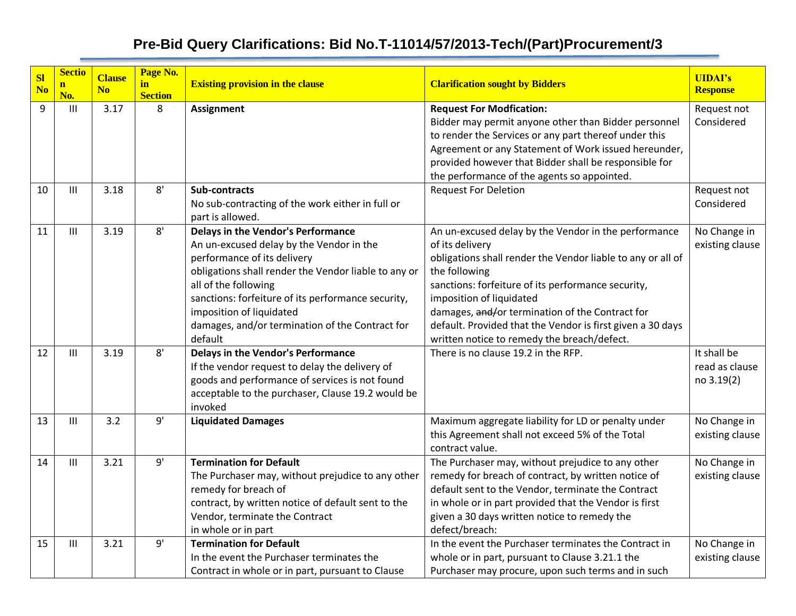| S <sub>l</sub> | <b>Sectio</b>       | <b>Clause</b>  | Page No.             |                                                                                                                                                                                                                                                                                                                                                      |                                                                                                                                                                                                                                                                                                                                                                                                           | <b>UIDAI's</b>                              |
|----------------|---------------------|----------------|----------------------|------------------------------------------------------------------------------------------------------------------------------------------------------------------------------------------------------------------------------------------------------------------------------------------------------------------------------------------------------|-----------------------------------------------------------------------------------------------------------------------------------------------------------------------------------------------------------------------------------------------------------------------------------------------------------------------------------------------------------------------------------------------------------|---------------------------------------------|
| N <sub>o</sub> | $\mathbf{n}$<br>No. | N <sub>0</sub> | in<br><b>Section</b> | <b>Existing provision in the clause</b>                                                                                                                                                                                                                                                                                                              | <b>Clarification sought by Bidders</b>                                                                                                                                                                                                                                                                                                                                                                    | <b>Response</b>                             |
| 9              | $\mathbf{III}$      | 3.17           | 8                    | <b>Assignment</b>                                                                                                                                                                                                                                                                                                                                    | <b>Request For Modfication:</b><br>Bidder may permit anyone other than Bidder personnel<br>to render the Services or any part thereof under this<br>Agreement or any Statement of Work issued hereunder,<br>provided however that Bidder shall be responsible for<br>the performance of the agents so appointed.                                                                                          | Request not<br>Considered                   |
| 10             | Ш                   | 3.18           | 8'                   | <b>Sub-contracts</b><br>No sub-contracting of the work either in full or<br>part is allowed.                                                                                                                                                                                                                                                         | <b>Request For Deletion</b>                                                                                                                                                                                                                                                                                                                                                                               | Request not<br>Considered                   |
| 11             | $\mathbf{III}$      | 3.19           | 8'                   | <b>Delays in the Vendor's Performance</b><br>An un-excused delay by the Vendor in the<br>performance of its delivery<br>obligations shall render the Vendor liable to any or<br>all of the following<br>sanctions: forfeiture of its performance security,<br>imposition of liquidated<br>damages, and/or termination of the Contract for<br>default | An un-excused delay by the Vendor in the performance<br>of its delivery<br>obligations shall render the Vendor liable to any or all of<br>the following<br>sanctions: forfeiture of its performance security,<br>imposition of liquidated<br>damages, and/or termination of the Contract for<br>default. Provided that the Vendor is first given a 30 days<br>written notice to remedy the breach/defect. | No Change in<br>existing clause             |
| 12             | Ш                   | 3.19           | 8'                   | <b>Delays in the Vendor's Performance</b><br>If the vendor request to delay the delivery of<br>goods and performance of services is not found<br>acceptable to the purchaser, Clause 19.2 would be<br>invoked                                                                                                                                        | There is no clause 19.2 in the RFP.                                                                                                                                                                                                                                                                                                                                                                       | It shall be<br>read as clause<br>no 3.19(2) |
| 13             | Ш                   | 3.2            | 9'                   | <b>Liquidated Damages</b>                                                                                                                                                                                                                                                                                                                            | Maximum aggregate liability for LD or penalty under<br>this Agreement shall not exceed 5% of the Total<br>contract value.                                                                                                                                                                                                                                                                                 | No Change in<br>existing clause             |
| 14             | $\mathbf{III}$      | 3.21           | 9'                   | <b>Termination for Default</b><br>The Purchaser may, without prejudice to any other<br>remedy for breach of<br>contract, by written notice of default sent to the<br>Vendor, terminate the Contract<br>in whole or in part                                                                                                                           | The Purchaser may, without prejudice to any other<br>remedy for breach of contract, by written notice of<br>default sent to the Vendor, terminate the Contract<br>in whole or in part provided that the Vendor is first<br>given a 30 days written notice to remedy the<br>defect/breach:                                                                                                                 | No Change in<br>existing clause             |
| 15             | $\mathbf{III}$      | 3.21           | 9'                   | <b>Termination for Default</b><br>In the event the Purchaser terminates the<br>Contract in whole or in part, pursuant to Clause                                                                                                                                                                                                                      | In the event the Purchaser terminates the Contract in<br>whole or in part, pursuant to Clause 3.21.1 the<br>Purchaser may procure, upon such terms and in such                                                                                                                                                                                                                                            | No Change in<br>existing clause             |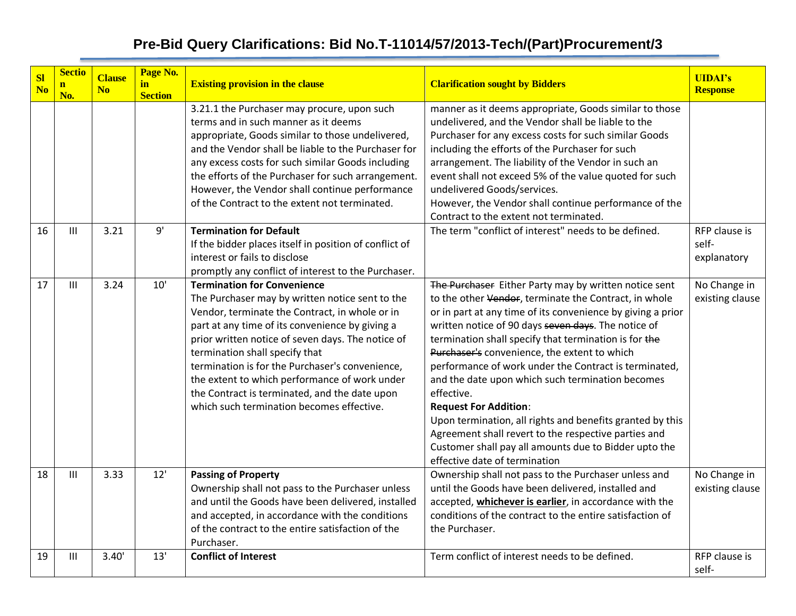| SI<br>N <sub>o</sub> | <b>Sectio</b><br>$\mathbf{n}$<br>No. | <b>Clause</b><br>N <sub>o</sub> | Page No.<br>in<br><b>Section</b> | <b>Existing provision in the clause</b>                                                                                                                                                                                                                                                                                                                                                                                                                                             | <b>Clarification sought by Bidders</b>                                                                                                                                                                                                                                                                                                                                                                                                                                                                                                                                                                                                                                                                                  | <b>UIDAI's</b><br><b>Response</b>     |
|----------------------|--------------------------------------|---------------------------------|----------------------------------|-------------------------------------------------------------------------------------------------------------------------------------------------------------------------------------------------------------------------------------------------------------------------------------------------------------------------------------------------------------------------------------------------------------------------------------------------------------------------------------|-------------------------------------------------------------------------------------------------------------------------------------------------------------------------------------------------------------------------------------------------------------------------------------------------------------------------------------------------------------------------------------------------------------------------------------------------------------------------------------------------------------------------------------------------------------------------------------------------------------------------------------------------------------------------------------------------------------------------|---------------------------------------|
|                      |                                      |                                 |                                  | 3.21.1 the Purchaser may procure, upon such<br>terms and in such manner as it deems<br>appropriate, Goods similar to those undelivered,<br>and the Vendor shall be liable to the Purchaser for<br>any excess costs for such similar Goods including<br>the efforts of the Purchaser for such arrangement.<br>However, the Vendor shall continue performance<br>of the Contract to the extent not terminated.                                                                        | manner as it deems appropriate, Goods similar to those<br>undelivered, and the Vendor shall be liable to the<br>Purchaser for any excess costs for such similar Goods<br>including the efforts of the Purchaser for such<br>arrangement. The liability of the Vendor in such an<br>event shall not exceed 5% of the value quoted for such<br>undelivered Goods/services.<br>However, the Vendor shall continue performance of the<br>Contract to the extent not terminated.                                                                                                                                                                                                                                             |                                       |
| 16                   | $\mathbf{H}$                         | 3.21                            | 9'                               | <b>Termination for Default</b><br>If the bidder places itself in position of conflict of<br>interest or fails to disclose<br>promptly any conflict of interest to the Purchaser.                                                                                                                                                                                                                                                                                                    | The term "conflict of interest" needs to be defined.                                                                                                                                                                                                                                                                                                                                                                                                                                                                                                                                                                                                                                                                    | RFP clause is<br>self-<br>explanatory |
| 17                   | $\mathbf{III}$                       | 3.24                            | 10'                              | <b>Termination for Convenience</b><br>The Purchaser may by written notice sent to the<br>Vendor, terminate the Contract, in whole or in<br>part at any time of its convenience by giving a<br>prior written notice of seven days. The notice of<br>termination shall specify that<br>termination is for the Purchaser's convenience,<br>the extent to which performance of work under<br>the Contract is terminated, and the date upon<br>which such termination becomes effective. | The Purchaser Either Party may by written notice sent<br>to the other Vendor, terminate the Contract, in whole<br>or in part at any time of its convenience by giving a prior<br>written notice of 90 days seven days. The notice of<br>termination shall specify that termination is for the<br>Purchaser's convenience, the extent to which<br>performance of work under the Contract is terminated,<br>and the date upon which such termination becomes<br>effective.<br><b>Request For Addition:</b><br>Upon termination, all rights and benefits granted by this<br>Agreement shall revert to the respective parties and<br>Customer shall pay all amounts due to Bidder upto the<br>effective date of termination | No Change in<br>existing clause       |
| 18                   | $\mathbf{III}$                       | 3.33                            | 12'                              | <b>Passing of Property</b><br>Ownership shall not pass to the Purchaser unless<br>and until the Goods have been delivered, installed<br>and accepted, in accordance with the conditions<br>of the contract to the entire satisfaction of the<br>Purchaser.                                                                                                                                                                                                                          | Ownership shall not pass to the Purchaser unless and<br>until the Goods have been delivered, installed and<br>accepted, whichever is earlier, in accordance with the<br>conditions of the contract to the entire satisfaction of<br>the Purchaser.                                                                                                                                                                                                                                                                                                                                                                                                                                                                      | No Change in<br>existing clause       |
| 19                   | $\mathbf{H}$                         | 3.40'                           | 13'                              | <b>Conflict of Interest</b>                                                                                                                                                                                                                                                                                                                                                                                                                                                         | Term conflict of interest needs to be defined.                                                                                                                                                                                                                                                                                                                                                                                                                                                                                                                                                                                                                                                                          | RFP clause is<br>self-                |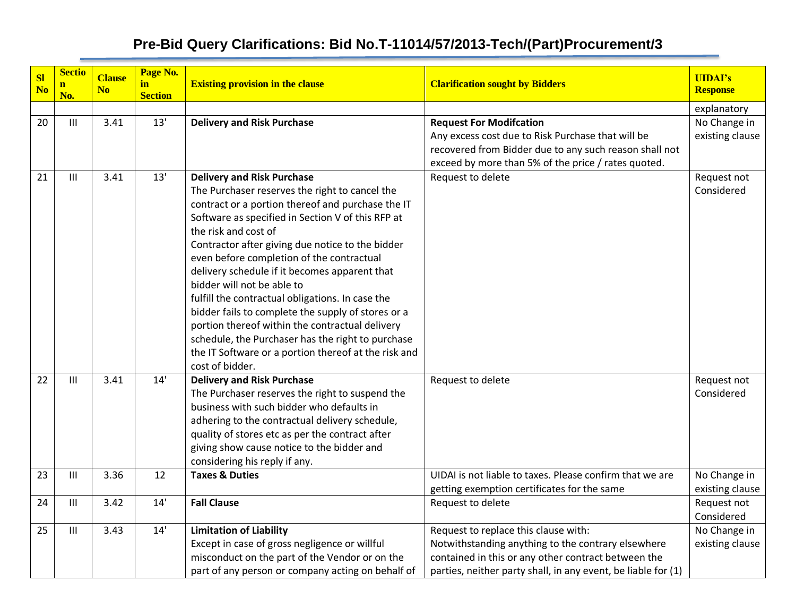| SI<br>N <sub>o</sub> | <b>Sectio</b><br>$\mathbf{n}$ | <b>Clause</b><br>N <sub>o</sub> | Page No.<br>in | <b>Existing provision in the clause</b>                                              | <b>Clarification sought by Bidders</b>                        | <b>UIDAI's</b><br><b>Response</b> |
|----------------------|-------------------------------|---------------------------------|----------------|--------------------------------------------------------------------------------------|---------------------------------------------------------------|-----------------------------------|
|                      | No.                           |                                 | <b>Section</b> |                                                                                      |                                                               |                                   |
| 20                   | $\mathbf{III}$                | 3.41                            | 13'            | <b>Delivery and Risk Purchase</b>                                                    | <b>Request For Modifcation</b>                                | explanatory<br>No Change in       |
|                      |                               |                                 |                |                                                                                      | Any excess cost due to Risk Purchase that will be             | existing clause                   |
|                      |                               |                                 |                |                                                                                      | recovered from Bidder due to any such reason shall not        |                                   |
|                      |                               |                                 |                |                                                                                      | exceed by more than 5% of the price / rates quoted.           |                                   |
| 21                   | $\mathbf{III}$                | 3.41                            | 13'            | <b>Delivery and Risk Purchase</b>                                                    | Request to delete                                             | Request not                       |
|                      |                               |                                 |                | The Purchaser reserves the right to cancel the                                       |                                                               | Considered                        |
|                      |                               |                                 |                | contract or a portion thereof and purchase the IT                                    |                                                               |                                   |
|                      |                               |                                 |                | Software as specified in Section V of this RFP at                                    |                                                               |                                   |
|                      |                               |                                 |                | the risk and cost of                                                                 |                                                               |                                   |
|                      |                               |                                 |                | Contractor after giving due notice to the bidder                                     |                                                               |                                   |
|                      |                               |                                 |                | even before completion of the contractual                                            |                                                               |                                   |
|                      |                               |                                 |                | delivery schedule if it becomes apparent that                                        |                                                               |                                   |
|                      |                               |                                 |                | bidder will not be able to                                                           |                                                               |                                   |
|                      |                               |                                 |                | fulfill the contractual obligations. In case the                                     |                                                               |                                   |
|                      |                               |                                 |                | bidder fails to complete the supply of stores or a                                   |                                                               |                                   |
|                      |                               |                                 |                | portion thereof within the contractual delivery                                      |                                                               |                                   |
|                      |                               |                                 |                | schedule, the Purchaser has the right to purchase                                    |                                                               |                                   |
|                      |                               |                                 |                | the IT Software or a portion thereof at the risk and                                 |                                                               |                                   |
|                      | $\mathbf{III}$                |                                 | 14'            | cost of bidder.                                                                      |                                                               |                                   |
| 22                   |                               | 3.41                            |                | <b>Delivery and Risk Purchase</b><br>The Purchaser reserves the right to suspend the | Request to delete                                             | Request not<br>Considered         |
|                      |                               |                                 |                | business with such bidder who defaults in                                            |                                                               |                                   |
|                      |                               |                                 |                | adhering to the contractual delivery schedule,                                       |                                                               |                                   |
|                      |                               |                                 |                | quality of stores etc as per the contract after                                      |                                                               |                                   |
|                      |                               |                                 |                | giving show cause notice to the bidder and                                           |                                                               |                                   |
|                      |                               |                                 |                | considering his reply if any.                                                        |                                                               |                                   |
| 23                   | $\mathbf{III}$                | 3.36                            | 12             | <b>Taxes &amp; Duties</b>                                                            | UIDAI is not liable to taxes. Please confirm that we are      | No Change in                      |
|                      |                               |                                 |                |                                                                                      | getting exemption certificates for the same                   | existing clause                   |
| 24                   | $\mathbf{III}$                | 3.42                            | 14'            | <b>Fall Clause</b>                                                                   | Request to delete                                             | Request not                       |
|                      |                               |                                 |                |                                                                                      |                                                               | Considered                        |
| 25                   | $\mathbf{III}$                | 3.43                            | 14'            | <b>Limitation of Liability</b>                                                       | Request to replace this clause with:                          | No Change in                      |
|                      |                               |                                 |                | Except in case of gross negligence or willful                                        | Notwithstanding anything to the contrary elsewhere            | existing clause                   |
|                      |                               |                                 |                | misconduct on the part of the Vendor or on the                                       | contained in this or any other contract between the           |                                   |
|                      |                               |                                 |                | part of any person or company acting on behalf of                                    | parties, neither party shall, in any event, be liable for (1) |                                   |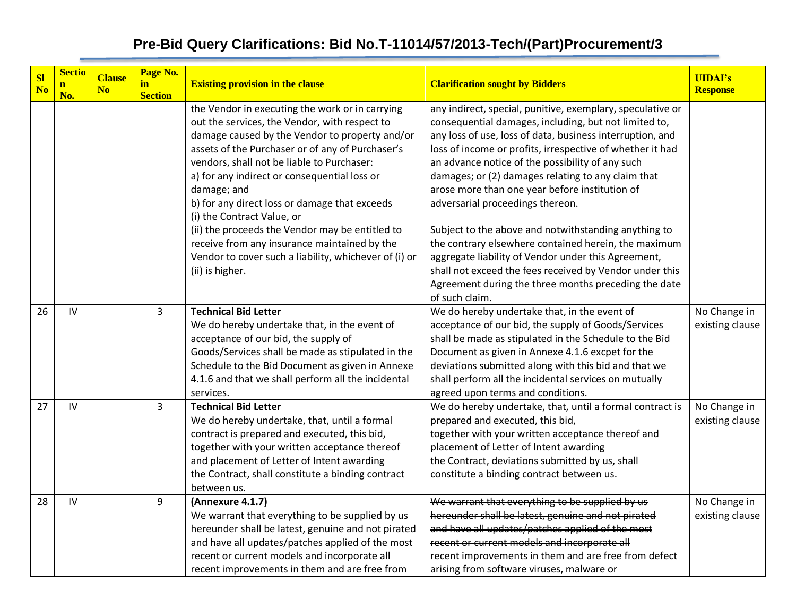| <b>SI</b><br>N <sub>o</sub> | <b>Sectio</b><br>$\mathbf{n}$<br>No. | <b>Clause</b><br>N <sub>o</sub> | Page No.<br>in<br><b>Section</b> | <b>Existing provision in the clause</b>                                                                                                                                                                                                                                                                                                                                                                                                                                                                                                                                           | <b>Clarification sought by Bidders</b>                                                                                                                                                                                                                                                                                                                                                                                                                                                                                                                                                                                                                                                                                                                    | <b>UIDAI's</b><br><b>Response</b> |
|-----------------------------|--------------------------------------|---------------------------------|----------------------------------|-----------------------------------------------------------------------------------------------------------------------------------------------------------------------------------------------------------------------------------------------------------------------------------------------------------------------------------------------------------------------------------------------------------------------------------------------------------------------------------------------------------------------------------------------------------------------------------|-----------------------------------------------------------------------------------------------------------------------------------------------------------------------------------------------------------------------------------------------------------------------------------------------------------------------------------------------------------------------------------------------------------------------------------------------------------------------------------------------------------------------------------------------------------------------------------------------------------------------------------------------------------------------------------------------------------------------------------------------------------|-----------------------------------|
|                             |                                      |                                 |                                  | the Vendor in executing the work or in carrying<br>out the services, the Vendor, with respect to<br>damage caused by the Vendor to property and/or<br>assets of the Purchaser or of any of Purchaser's<br>vendors, shall not be liable to Purchaser:<br>a) for any indirect or consequential loss or<br>damage; and<br>b) for any direct loss or damage that exceeds<br>(i) the Contract Value, or<br>(ii) the proceeds the Vendor may be entitled to<br>receive from any insurance maintained by the<br>Vendor to cover such a liability, whichever of (i) or<br>(ii) is higher. | any indirect, special, punitive, exemplary, speculative or<br>consequential damages, including, but not limited to,<br>any loss of use, loss of data, business interruption, and<br>loss of income or profits, irrespective of whether it had<br>an advance notice of the possibility of any such<br>damages; or (2) damages relating to any claim that<br>arose more than one year before institution of<br>adversarial proceedings thereon.<br>Subject to the above and notwithstanding anything to<br>the contrary elsewhere contained herein, the maximum<br>aggregate liability of Vendor under this Agreement,<br>shall not exceed the fees received by Vendor under this<br>Agreement during the three months preceding the date<br>of such claim. |                                   |
| 26                          | $\mathsf{IV}$                        |                                 | 3                                | <b>Technical Bid Letter</b><br>We do hereby undertake that, in the event of<br>acceptance of our bid, the supply of<br>Goods/Services shall be made as stipulated in the<br>Schedule to the Bid Document as given in Annexe<br>4.1.6 and that we shall perform all the incidental<br>services.                                                                                                                                                                                                                                                                                    | We do hereby undertake that, in the event of<br>acceptance of our bid, the supply of Goods/Services<br>shall be made as stipulated in the Schedule to the Bid<br>Document as given in Annexe 4.1.6 excpet for the<br>deviations submitted along with this bid and that we<br>shall perform all the incidental services on mutually<br>agreed upon terms and conditions.                                                                                                                                                                                                                                                                                                                                                                                   | No Change in<br>existing clause   |
| 27                          | IV                                   |                                 | $\overline{3}$                   | <b>Technical Bid Letter</b><br>We do hereby undertake, that, until a formal<br>contract is prepared and executed, this bid,<br>together with your written acceptance thereof<br>and placement of Letter of Intent awarding<br>the Contract, shall constitute a binding contract<br>between us.                                                                                                                                                                                                                                                                                    | We do hereby undertake, that, until a formal contract is<br>prepared and executed, this bid,<br>together with your written acceptance thereof and<br>placement of Letter of Intent awarding<br>the Contract, deviations submitted by us, shall<br>constitute a binding contract between us.                                                                                                                                                                                                                                                                                                                                                                                                                                                               | No Change in<br>existing clause   |
| 28                          | IV                                   |                                 | 9                                | (Annexure 4.1.7)<br>We warrant that everything to be supplied by us<br>hereunder shall be latest, genuine and not pirated<br>and have all updates/patches applied of the most<br>recent or current models and incorporate all<br>recent improvements in them and are free from                                                                                                                                                                                                                                                                                                    | We warrant that everything to be supplied by us<br>hereunder shall be latest, genuine and not pirated<br>and have all updates/patches applied of the most<br>recent or current models and incorporate all<br>recent improvements in them and are free from defect<br>arising from software viruses, malware or                                                                                                                                                                                                                                                                                                                                                                                                                                            | No Change in<br>existing clause   |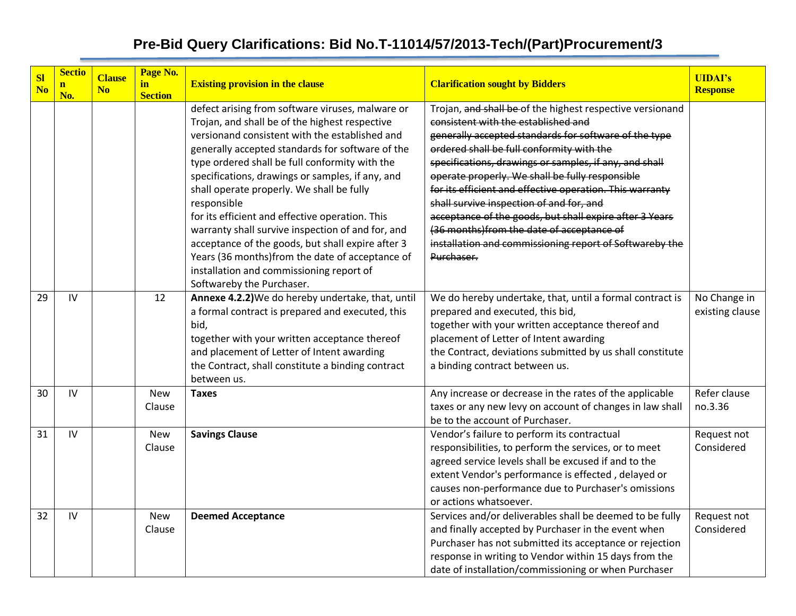| S <sub>l</sub><br>N <sub>o</sub> | <b>Sectio</b><br>$\mathbf{n}$<br>No. | <b>Clause</b><br>N <sub>0</sub> | Page No.<br>in<br><b>Section</b> | <b>Existing provision in the clause</b>                                                                                                                                                                                                                                                                                                                                                                                                                                                                                                                                                                                                                             | <b>Clarification sought by Bidders</b>                                                                                                                                                                                                                                                                                                                                                                                                                                                                                                                                                                       | <b>UIDAI's</b><br><b>Response</b> |
|----------------------------------|--------------------------------------|---------------------------------|----------------------------------|---------------------------------------------------------------------------------------------------------------------------------------------------------------------------------------------------------------------------------------------------------------------------------------------------------------------------------------------------------------------------------------------------------------------------------------------------------------------------------------------------------------------------------------------------------------------------------------------------------------------------------------------------------------------|--------------------------------------------------------------------------------------------------------------------------------------------------------------------------------------------------------------------------------------------------------------------------------------------------------------------------------------------------------------------------------------------------------------------------------------------------------------------------------------------------------------------------------------------------------------------------------------------------------------|-----------------------------------|
|                                  |                                      |                                 |                                  | defect arising from software viruses, malware or<br>Trojan, and shall be of the highest respective<br>versionand consistent with the established and<br>generally accepted standards for software of the<br>type ordered shall be full conformity with the<br>specifications, drawings or samples, if any, and<br>shall operate properly. We shall be fully<br>responsible<br>for its efficient and effective operation. This<br>warranty shall survive inspection of and for, and<br>acceptance of the goods, but shall expire after 3<br>Years (36 months)from the date of acceptance of<br>installation and commissioning report of<br>Softwareby the Purchaser. | Trojan, and shall be of the highest respective versionand<br>consistent with the established and<br>generally accepted standards for software of the type<br>ordered shall be full conformity with the<br>specifications, drawings or samples, if any, and shall<br>operate properly. We shall be fully responsible<br>for its efficient and effective operation. This warranty<br>shall survive inspection of and for, and<br>acceptance of the goods, but shall expire after 3 Years<br>(36 months)from the date of acceptance of<br>installation and commissioning report of Softwareby the<br>Purchaser. |                                   |
| 29                               | IV                                   |                                 | 12                               | Annexe 4.2.2) We do hereby undertake, that, until<br>a formal contract is prepared and executed, this<br>bid,<br>together with your written acceptance thereof<br>and placement of Letter of Intent awarding<br>the Contract, shall constitute a binding contract<br>between us.                                                                                                                                                                                                                                                                                                                                                                                    | We do hereby undertake, that, until a formal contract is<br>prepared and executed, this bid,<br>together with your written acceptance thereof and<br>placement of Letter of Intent awarding<br>the Contract, deviations submitted by us shall constitute<br>a binding contract between us.                                                                                                                                                                                                                                                                                                                   | No Change in<br>existing clause   |
| 30                               | IV                                   |                                 | <b>New</b><br>Clause             | <b>Taxes</b>                                                                                                                                                                                                                                                                                                                                                                                                                                                                                                                                                                                                                                                        | Any increase or decrease in the rates of the applicable<br>taxes or any new levy on account of changes in law shall<br>be to the account of Purchaser.                                                                                                                                                                                                                                                                                                                                                                                                                                                       | Refer clause<br>no.3.36           |
| 31                               | IV                                   |                                 | <b>New</b><br>Clause             | <b>Savings Clause</b>                                                                                                                                                                                                                                                                                                                                                                                                                                                                                                                                                                                                                                               | Vendor's failure to perform its contractual<br>responsibilities, to perform the services, or to meet<br>agreed service levels shall be excused if and to the<br>extent Vendor's performance is effected, delayed or<br>causes non-performance due to Purchaser's omissions<br>or actions whatsoever.                                                                                                                                                                                                                                                                                                         | Request not<br>Considered         |
| 32                               | IV                                   |                                 | New<br>Clause                    | <b>Deemed Acceptance</b>                                                                                                                                                                                                                                                                                                                                                                                                                                                                                                                                                                                                                                            | Services and/or deliverables shall be deemed to be fully<br>and finally accepted by Purchaser in the event when<br>Purchaser has not submitted its acceptance or rejection<br>response in writing to Vendor within 15 days from the<br>date of installation/commissioning or when Purchaser                                                                                                                                                                                                                                                                                                                  | Request not<br>Considered         |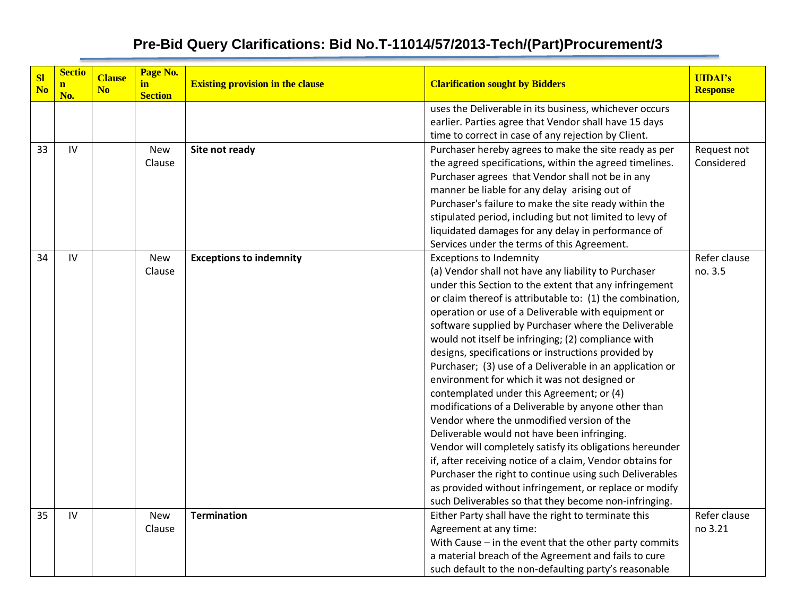| <b>SI</b><br>N <sub>o</sub> | <b>Sectio</b><br>$\mathbf{n}$<br>No. | <b>Clause</b><br>N <sub>o</sub> | Page No.<br>in<br><b>Section</b> | <b>Existing provision in the clause</b> | <b>Clarification sought by Bidders</b>                                                            | <b>UIDAI's</b><br><b>Response</b> |
|-----------------------------|--------------------------------------|---------------------------------|----------------------------------|-----------------------------------------|---------------------------------------------------------------------------------------------------|-----------------------------------|
|                             |                                      |                                 |                                  |                                         | uses the Deliverable in its business, whichever occurs                                            |                                   |
|                             |                                      |                                 |                                  |                                         | earlier. Parties agree that Vendor shall have 15 days                                             |                                   |
|                             |                                      |                                 |                                  |                                         | time to correct in case of any rejection by Client.                                               |                                   |
| 33                          | IV                                   |                                 | <b>New</b>                       | Site not ready                          | Purchaser hereby agrees to make the site ready as per                                             | Request not                       |
|                             |                                      |                                 | Clause                           |                                         | the agreed specifications, within the agreed timelines.                                           | Considered                        |
|                             |                                      |                                 |                                  |                                         | Purchaser agrees that Vendor shall not be in any                                                  |                                   |
|                             |                                      |                                 |                                  |                                         | manner be liable for any delay arising out of                                                     |                                   |
|                             |                                      |                                 |                                  |                                         | Purchaser's failure to make the site ready within the                                             |                                   |
|                             |                                      |                                 |                                  |                                         | stipulated period, including but not limited to levy of                                           |                                   |
|                             |                                      |                                 |                                  |                                         | liquidated damages for any delay in performance of<br>Services under the terms of this Agreement. |                                   |
| 34                          | IV                                   |                                 | <b>New</b>                       | <b>Exceptions to indemnity</b>          | <b>Exceptions to Indemnity</b>                                                                    | Refer clause                      |
|                             |                                      |                                 | Clause                           |                                         | (a) Vendor shall not have any liability to Purchaser                                              | no. 3.5                           |
|                             |                                      |                                 |                                  |                                         | under this Section to the extent that any infringement                                            |                                   |
|                             |                                      |                                 |                                  |                                         | or claim thereof is attributable to: (1) the combination,                                         |                                   |
|                             |                                      |                                 |                                  |                                         | operation or use of a Deliverable with equipment or                                               |                                   |
|                             |                                      |                                 |                                  |                                         | software supplied by Purchaser where the Deliverable                                              |                                   |
|                             |                                      |                                 |                                  |                                         | would not itself be infringing; (2) compliance with                                               |                                   |
|                             |                                      |                                 |                                  |                                         | designs, specifications or instructions provided by                                               |                                   |
|                             |                                      |                                 |                                  |                                         | Purchaser; (3) use of a Deliverable in an application or                                          |                                   |
|                             |                                      |                                 |                                  |                                         | environment for which it was not designed or                                                      |                                   |
|                             |                                      |                                 |                                  |                                         | contemplated under this Agreement; or (4)                                                         |                                   |
|                             |                                      |                                 |                                  |                                         | modifications of a Deliverable by anyone other than                                               |                                   |
|                             |                                      |                                 |                                  |                                         | Vendor where the unmodified version of the                                                        |                                   |
|                             |                                      |                                 |                                  |                                         | Deliverable would not have been infringing.                                                       |                                   |
|                             |                                      |                                 |                                  |                                         | Vendor will completely satisfy its obligations hereunder                                          |                                   |
|                             |                                      |                                 |                                  |                                         | if, after receiving notice of a claim, Vendor obtains for                                         |                                   |
|                             |                                      |                                 |                                  |                                         | Purchaser the right to continue using such Deliverables                                           |                                   |
|                             |                                      |                                 |                                  |                                         | as provided without infringement, or replace or modify                                            |                                   |
|                             |                                      |                                 |                                  |                                         | such Deliverables so that they become non-infringing.                                             |                                   |
| 35                          | IV                                   |                                 | <b>New</b>                       | <b>Termination</b>                      | Either Party shall have the right to terminate this                                               | Refer clause                      |
|                             |                                      |                                 | Clause                           |                                         | Agreement at any time:                                                                            | no 3.21                           |
|                             |                                      |                                 |                                  |                                         | With Cause - in the event that the other party commits                                            |                                   |
|                             |                                      |                                 |                                  |                                         | a material breach of the Agreement and fails to cure                                              |                                   |
|                             |                                      |                                 |                                  |                                         | such default to the non-defaulting party's reasonable                                             |                                   |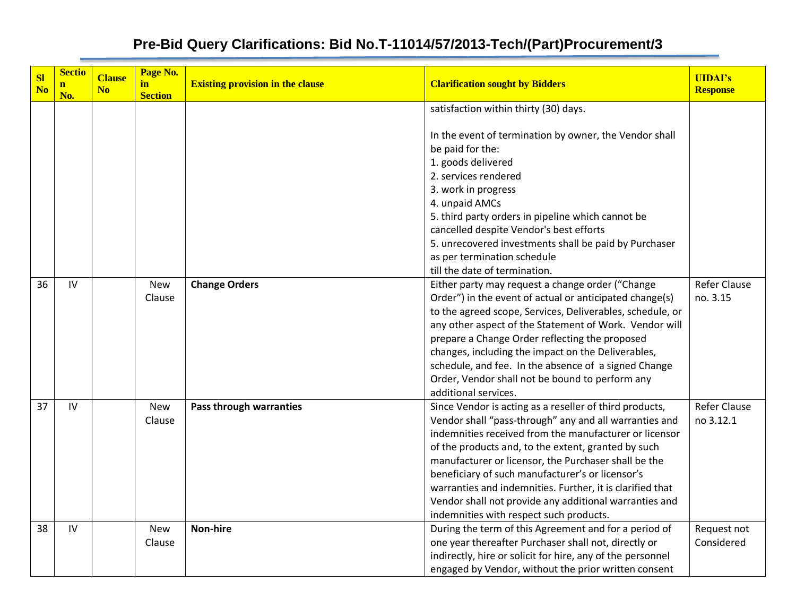| S1<br>N <sub>0</sub> | <b>Sectio</b><br>$\mathbf{n}$ | <b>Clause</b><br>N <sub>o</sub> | Page No.<br>in       | <b>Existing provision in the clause</b> | <b>Clarification sought by Bidders</b>                                                                                                                                                                                                                                                                                                                                                                                                                                                                           | <b>UIDAI's</b><br><b>Response</b> |
|----------------------|-------------------------------|---------------------------------|----------------------|-----------------------------------------|------------------------------------------------------------------------------------------------------------------------------------------------------------------------------------------------------------------------------------------------------------------------------------------------------------------------------------------------------------------------------------------------------------------------------------------------------------------------------------------------------------------|-----------------------------------|
|                      | No.                           |                                 | <b>Section</b>       |                                         | satisfaction within thirty (30) days.                                                                                                                                                                                                                                                                                                                                                                                                                                                                            |                                   |
|                      |                               |                                 |                      |                                         | In the event of termination by owner, the Vendor shall<br>be paid for the:<br>1. goods delivered<br>2. services rendered<br>3. work in progress                                                                                                                                                                                                                                                                                                                                                                  |                                   |
|                      |                               |                                 |                      |                                         | 4. unpaid AMCs<br>5. third party orders in pipeline which cannot be<br>cancelled despite Vendor's best efforts<br>5. unrecovered investments shall be paid by Purchaser<br>as per termination schedule<br>till the date of termination.                                                                                                                                                                                                                                                                          |                                   |
| 36                   | IV                            |                                 | <b>New</b><br>Clause | <b>Change Orders</b>                    | Either party may request a change order ("Change<br>Order") in the event of actual or anticipated change(s)<br>to the agreed scope, Services, Deliverables, schedule, or<br>any other aspect of the Statement of Work. Vendor will<br>prepare a Change Order reflecting the proposed<br>changes, including the impact on the Deliverables,<br>schedule, and fee. In the absence of a signed Change<br>Order, Vendor shall not be bound to perform any<br>additional services.                                    | <b>Refer Clause</b><br>no. 3.15   |
| 37                   | IV                            |                                 | <b>New</b><br>Clause | Pass through warranties                 | Since Vendor is acting as a reseller of third products,<br>Vendor shall "pass-through" any and all warranties and<br>indemnities received from the manufacturer or licensor<br>of the products and, to the extent, granted by such<br>manufacturer or licensor, the Purchaser shall be the<br>beneficiary of such manufacturer's or licensor's<br>warranties and indemnities. Further, it is clarified that<br>Vendor shall not provide any additional warranties and<br>indemnities with respect such products. | <b>Refer Clause</b><br>no 3.12.1  |
| 38                   | IV                            |                                 | <b>New</b><br>Clause | <b>Non-hire</b>                         | During the term of this Agreement and for a period of<br>one year thereafter Purchaser shall not, directly or<br>indirectly, hire or solicit for hire, any of the personnel<br>engaged by Vendor, without the prior written consent                                                                                                                                                                                                                                                                              | Request not<br>Considered         |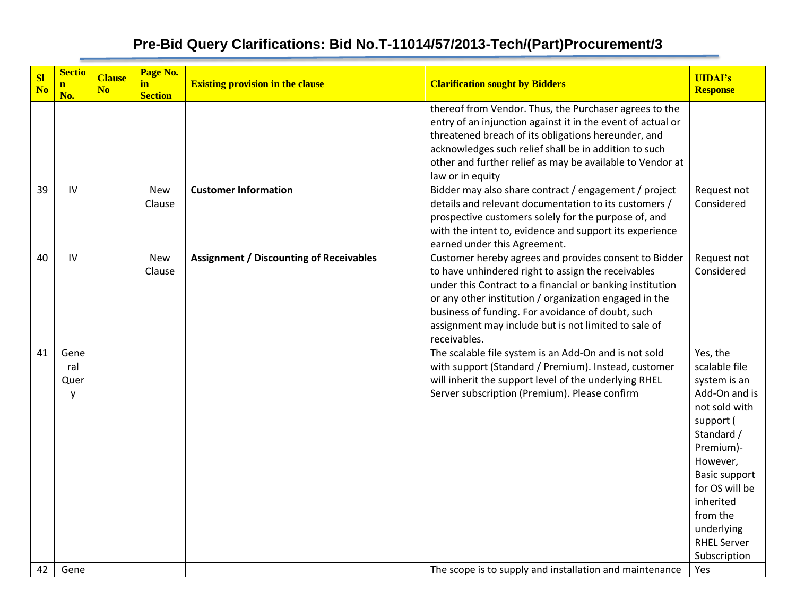| <b>Sl</b><br>N <sub>o</sub> | <b>Sectio</b><br>n<br>No. | <b>Clause</b><br>N <sub>o</sub> | Page No.<br>in<br><b>Section</b> | <b>Existing provision in the clause</b>        | <b>Clarification sought by Bidders</b>                                                                                                                                                                                                                                                                                                                          | <b>UIDAI's</b><br><b>Response</b>                                                                                                                                                                                                                      |
|-----------------------------|---------------------------|---------------------------------|----------------------------------|------------------------------------------------|-----------------------------------------------------------------------------------------------------------------------------------------------------------------------------------------------------------------------------------------------------------------------------------------------------------------------------------------------------------------|--------------------------------------------------------------------------------------------------------------------------------------------------------------------------------------------------------------------------------------------------------|
|                             |                           |                                 |                                  |                                                | thereof from Vendor. Thus, the Purchaser agrees to the<br>entry of an injunction against it in the event of actual or<br>threatened breach of its obligations hereunder, and<br>acknowledges such relief shall be in addition to such<br>other and further relief as may be available to Vendor at<br>law or in equity                                          |                                                                                                                                                                                                                                                        |
| 39                          | IV                        |                                 | <b>New</b><br>Clause             | <b>Customer Information</b>                    | Bidder may also share contract / engagement / project<br>details and relevant documentation to its customers /<br>prospective customers solely for the purpose of, and<br>with the intent to, evidence and support its experience<br>earned under this Agreement.                                                                                               | Request not<br>Considered                                                                                                                                                                                                                              |
| 40                          | IV                        |                                 | New<br>Clause                    | <b>Assignment / Discounting of Receivables</b> | Customer hereby agrees and provides consent to Bidder<br>to have unhindered right to assign the receivables<br>under this Contract to a financial or banking institution<br>or any other institution / organization engaged in the<br>business of funding. For avoidance of doubt, such<br>assignment may include but is not limited to sale of<br>receivables. | Request not<br>Considered                                                                                                                                                                                                                              |
| 41                          | Gene<br>ral<br>Quer<br>у  |                                 |                                  |                                                | The scalable file system is an Add-On and is not sold<br>with support (Standard / Premium). Instead, customer<br>will inherit the support level of the underlying RHEL<br>Server subscription (Premium). Please confirm                                                                                                                                         | Yes, the<br>scalable file<br>system is an<br>Add-On and is<br>not sold with<br>support (<br>Standard /<br>Premium)-<br>However,<br><b>Basic support</b><br>for OS will be<br>inherited<br>from the<br>underlying<br><b>RHEL Server</b><br>Subscription |
| 42                          | Gene                      |                                 |                                  |                                                | The scope is to supply and installation and maintenance                                                                                                                                                                                                                                                                                                         | Yes                                                                                                                                                                                                                                                    |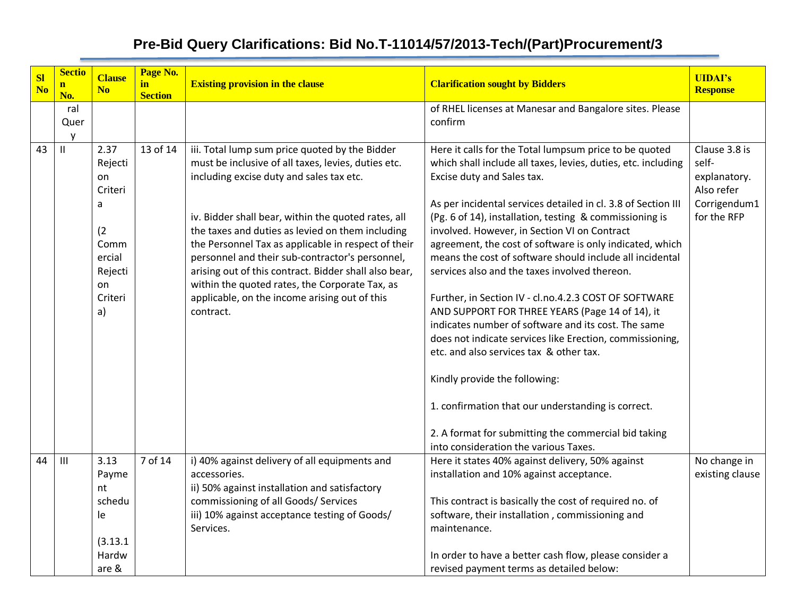| <b>SI</b><br>N <sub>o</sub> | <b>Sectio</b><br>$\mathbf n$<br>No. | <b>Clause</b><br>N <sub>o</sub>                                                                  | Page No.<br>in<br><b>Section</b> | <b>Existing provision in the clause</b>                                                                                                                                                                                                                                                                                                                                                                                                                                                                                                         | <b>Clarification sought by Bidders</b>                                                                                                                                                                                                                                                                                                                                                                                                                                                                                                                                                                                                                                                                                                                                                                                                                                                                                                                                       | <b>UIDAI's</b><br><b>Response</b>                                                   |
|-----------------------------|-------------------------------------|--------------------------------------------------------------------------------------------------|----------------------------------|-------------------------------------------------------------------------------------------------------------------------------------------------------------------------------------------------------------------------------------------------------------------------------------------------------------------------------------------------------------------------------------------------------------------------------------------------------------------------------------------------------------------------------------------------|------------------------------------------------------------------------------------------------------------------------------------------------------------------------------------------------------------------------------------------------------------------------------------------------------------------------------------------------------------------------------------------------------------------------------------------------------------------------------------------------------------------------------------------------------------------------------------------------------------------------------------------------------------------------------------------------------------------------------------------------------------------------------------------------------------------------------------------------------------------------------------------------------------------------------------------------------------------------------|-------------------------------------------------------------------------------------|
|                             | ral<br>Quer                         |                                                                                                  |                                  |                                                                                                                                                                                                                                                                                                                                                                                                                                                                                                                                                 | of RHEL licenses at Manesar and Bangalore sites. Please<br>confirm                                                                                                                                                                                                                                                                                                                                                                                                                                                                                                                                                                                                                                                                                                                                                                                                                                                                                                           |                                                                                     |
| 43                          | y<br>$\mathbf{H}$                   | 2.37<br>Rejecti<br>on<br>Criteri<br>a<br>(2)<br>Comm<br>ercial<br>Rejecti<br>on<br>Criteri<br>a) | 13 of 14                         | iii. Total lump sum price quoted by the Bidder<br>must be inclusive of all taxes, levies, duties etc.<br>including excise duty and sales tax etc.<br>iv. Bidder shall bear, within the quoted rates, all<br>the taxes and duties as levied on them including<br>the Personnel Tax as applicable in respect of their<br>personnel and their sub-contractor's personnel,<br>arising out of this contract. Bidder shall also bear,<br>within the quoted rates, the Corporate Tax, as<br>applicable, on the income arising out of this<br>contract. | Here it calls for the Total lumpsum price to be quoted<br>which shall include all taxes, levies, duties, etc. including<br>Excise duty and Sales tax.<br>As per incidental services detailed in cl. 3.8 of Section III<br>(Pg. 6 of 14), installation, testing & commissioning is<br>involved. However, in Section VI on Contract<br>agreement, the cost of software is only indicated, which<br>means the cost of software should include all incidental<br>services also and the taxes involved thereon.<br>Further, in Section IV - cl.no.4.2.3 COST OF SOFTWARE<br>AND SUPPORT FOR THREE YEARS (Page 14 of 14), it<br>indicates number of software and its cost. The same<br>does not indicate services like Erection, commissioning,<br>etc. and also services tax & other tax.<br>Kindly provide the following:<br>1. confirmation that our understanding is correct.<br>2. A format for submitting the commercial bid taking<br>into consideration the various Taxes. | Clause 3.8 is<br>self-<br>explanatory.<br>Also refer<br>Corrigendum1<br>for the RFP |
| 44                          | $\mathbf{III}$                      | 3.13<br>Payme<br>nt<br>schedu<br>le<br>(3.13.1)<br>Hardw<br>are &                                | 7 of 14                          | i) 40% against delivery of all equipments and<br>accessories.<br>ii) 50% against installation and satisfactory<br>commissioning of all Goods/ Services<br>iii) 10% against acceptance testing of Goods/<br>Services.                                                                                                                                                                                                                                                                                                                            | Here it states 40% against delivery, 50% against<br>installation and 10% against acceptance.<br>This contract is basically the cost of required no. of<br>software, their installation, commissioning and<br>maintenance.<br>In order to have a better cash flow, please consider a<br>revised payment terms as detailed below:                                                                                                                                                                                                                                                                                                                                                                                                                                                                                                                                                                                                                                              | No change in<br>existing clause                                                     |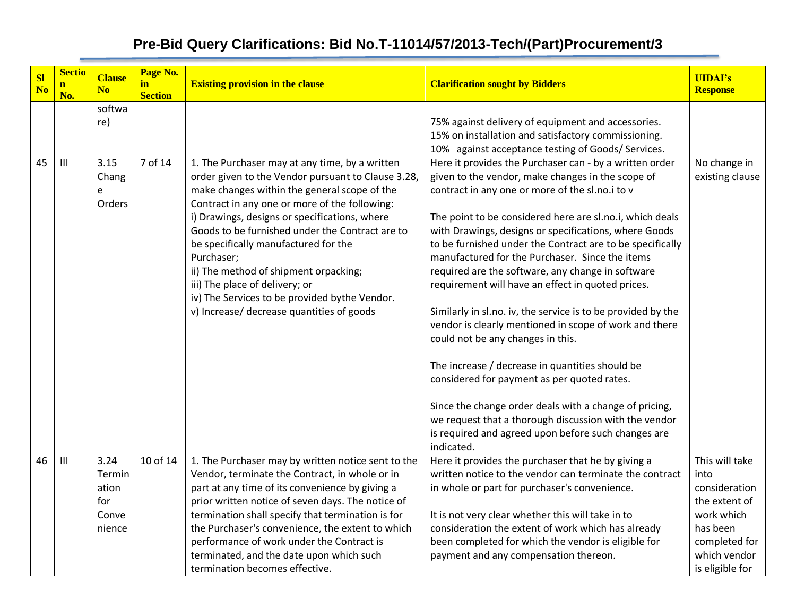| <b>SI</b><br>N <sub>o</sub> | <b>Sectio</b><br>$\mathbf{n}$<br>No. | <b>Clause</b><br>N <sub>0</sub>                   | Page No.<br>in<br><b>Section</b> | <b>Existing provision in the clause</b>                                                                                                                                                                                                                                                                                                                                                                                                                                                                                                  | <b>Clarification sought by Bidders</b>                                                                                                                                                                                                                                                                                                                                                                                                                                                                                                                                                                                                                                                                                                                                                                                                                                                                                                                                  | <b>UIDAI's</b><br><b>Response</b>                                                                                                      |
|-----------------------------|--------------------------------------|---------------------------------------------------|----------------------------------|------------------------------------------------------------------------------------------------------------------------------------------------------------------------------------------------------------------------------------------------------------------------------------------------------------------------------------------------------------------------------------------------------------------------------------------------------------------------------------------------------------------------------------------|-------------------------------------------------------------------------------------------------------------------------------------------------------------------------------------------------------------------------------------------------------------------------------------------------------------------------------------------------------------------------------------------------------------------------------------------------------------------------------------------------------------------------------------------------------------------------------------------------------------------------------------------------------------------------------------------------------------------------------------------------------------------------------------------------------------------------------------------------------------------------------------------------------------------------------------------------------------------------|----------------------------------------------------------------------------------------------------------------------------------------|
|                             |                                      | softwa<br>re)                                     |                                  |                                                                                                                                                                                                                                                                                                                                                                                                                                                                                                                                          | 75% against delivery of equipment and accessories.<br>15% on installation and satisfactory commissioning.<br>10% against acceptance testing of Goods/ Services.                                                                                                                                                                                                                                                                                                                                                                                                                                                                                                                                                                                                                                                                                                                                                                                                         |                                                                                                                                        |
| 45                          | $\mathbf{III}$                       | 3.15<br>Chang<br>e<br>Orders                      | 7 of 14                          | 1. The Purchaser may at any time, by a written<br>order given to the Vendor pursuant to Clause 3.28,<br>make changes within the general scope of the<br>Contract in any one or more of the following:<br>i) Drawings, designs or specifications, where<br>Goods to be furnished under the Contract are to<br>be specifically manufactured for the<br>Purchaser;<br>ii) The method of shipment orpacking;<br>iii) The place of delivery; or<br>iv) The Services to be provided bythe Vendor.<br>v) Increase/ decrease quantities of goods | Here it provides the Purchaser can - by a written order<br>given to the vendor, make changes in the scope of<br>contract in any one or more of the sl.no.i to v<br>The point to be considered here are sl.no.i, which deals<br>with Drawings, designs or specifications, where Goods<br>to be furnished under the Contract are to be specifically<br>manufactured for the Purchaser. Since the items<br>required are the software, any change in software<br>requirement will have an effect in quoted prices.<br>Similarly in sl.no. iv, the service is to be provided by the<br>vendor is clearly mentioned in scope of work and there<br>could not be any changes in this.<br>The increase / decrease in quantities should be<br>considered for payment as per quoted rates.<br>Since the change order deals with a change of pricing,<br>we request that a thorough discussion with the vendor<br>is required and agreed upon before such changes are<br>indicated. | No change in<br>existing clause                                                                                                        |
| 46                          | III                                  | 3.24<br>Termin<br>ation<br>for<br>Conve<br>nience | 10 of 14                         | 1. The Purchaser may by written notice sent to the<br>Vendor, terminate the Contract, in whole or in<br>part at any time of its convenience by giving a<br>prior written notice of seven days. The notice of<br>termination shall specify that termination is for<br>the Purchaser's convenience, the extent to which<br>performance of work under the Contract is<br>terminated, and the date upon which such<br>termination becomes effective.                                                                                         | Here it provides the purchaser that he by giving a<br>written notice to the vendor can terminate the contract<br>in whole or part for purchaser's convenience.<br>It is not very clear whether this will take in to<br>consideration the extent of work which has already<br>been completed for which the vendor is eligible for<br>payment and any compensation thereon.                                                                                                                                                                                                                                                                                                                                                                                                                                                                                                                                                                                               | This will take<br>into<br>consideration<br>the extent of<br>work which<br>has been<br>completed for<br>which vendor<br>is eligible for |